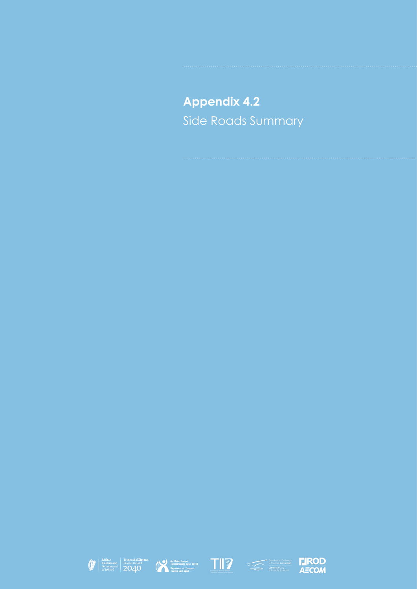**Appendix 4.2** Side Roads Summary









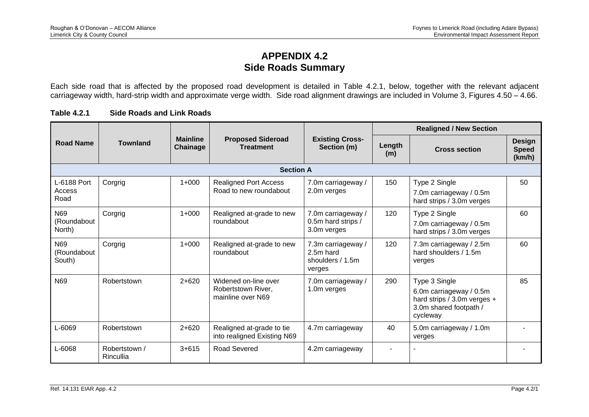## **APPENDIX 4.2 Side Roads Summary**

Each side road that is affected by the proposed road development is detailed in Table 4.2.1, below, together with the relevant adjacent carriageway width, hard-strip width and approximate verge width. Side road alignment drawings are included in Volume 3, Figures 4.50 – 4.66.

| Road Name                     |                            |                             |                                                                 |                                                               |               | <b>Realigned / New Section</b>                                                                                |                                         |  |  |
|-------------------------------|----------------------------|-----------------------------|-----------------------------------------------------------------|---------------------------------------------------------------|---------------|---------------------------------------------------------------------------------------------------------------|-----------------------------------------|--|--|
|                               | <b>Townland</b>            | <b>Mainline</b><br>Chainage | <b>Proposed Sideroad</b><br><b>Treatment</b>                    | <b>Existing Cross-</b><br>Section (m)                         | Length<br>(m) | <b>Cross section</b>                                                                                          | <b>Design</b><br><b>Speed</b><br>(km/h) |  |  |
|                               |                            |                             | <b>Section A</b>                                                |                                                               |               |                                                                                                               |                                         |  |  |
| L-6188 Port<br>Access<br>Road | Corgrig                    | $1+000$                     | <b>Realigned Port Access</b><br>Road to new roundabout          | 7.0m carriageway /<br>2.0m verges                             | 150           | Type 2 Single<br>7.0m carriageway / 0.5m<br>hard strips / 3.0m verges                                         | 50                                      |  |  |
| N69<br>(Roundabout<br>North)  | Corgrig                    | $1+000$                     | Realigned at-grade to new<br>roundabout                         | 7.0m carriageway /<br>0.5m hard strips /<br>3.0m verges       | 120           | Type 2 Single<br>7.0m carriageway / 0.5m<br>hard strips / 3.0m verges                                         | 60                                      |  |  |
| N69<br>(Roundabout<br>South)  | Corgrig                    | $1+000$                     | Realigned at-grade to new<br>roundabout                         | 7.3m carriageway /<br>2.5m hard<br>shoulders / 1.5m<br>verges | 120           | 7.3m carriageway / 2.5m<br>hard shoulders / 1.5m<br>verges                                                    | 60                                      |  |  |
| N69                           | Robertstown                | $2 + 620$                   | Widened on-line over<br>Robertstown River,<br>mainline over N69 | 7.0m carriageway /<br>1.0m verges                             | 290           | Type 3 Single<br>6.0m carriageway / 0.5m<br>hard strips / 3.0m verges +<br>3.0m shared footpath /<br>cycleway | 85                                      |  |  |
| L-6069                        | Robertstown                | $2 + 620$                   | Realigned at-grade to tie<br>into realigned Existing N69        | 4.7m carriageway                                              | 40            | 5.0m carriageway / 1.0m<br>verges                                                                             |                                         |  |  |
| L-6068                        | Robertstown /<br>Rincullia | $3 + 615$                   | <b>Road Severed</b>                                             | 4.2m carriageway                                              |               |                                                                                                               |                                         |  |  |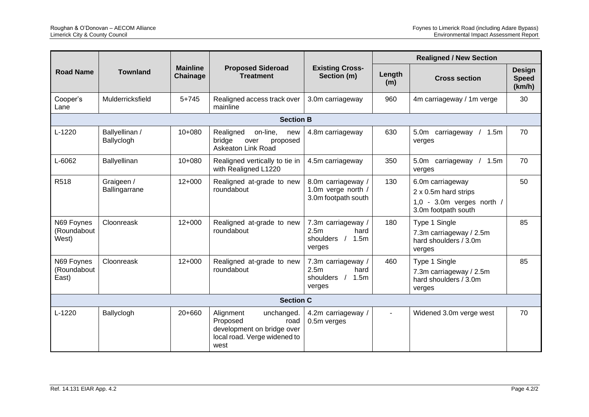| <b>Road Name</b>                   |                              |                             |                                                                                                                   |                                                                                   | <b>Realigned / New Section</b> |                                                                                                |                                         |  |  |
|------------------------------------|------------------------------|-----------------------------|-------------------------------------------------------------------------------------------------------------------|-----------------------------------------------------------------------------------|--------------------------------|------------------------------------------------------------------------------------------------|-----------------------------------------|--|--|
|                                    | <b>Townland</b>              | <b>Mainline</b><br>Chainage | <b>Proposed Sideroad</b><br><b>Treatment</b>                                                                      | <b>Existing Cross-</b><br>Section (m)                                             | Length<br>(m)                  | <b>Cross section</b>                                                                           | <b>Design</b><br><b>Speed</b><br>(km/h) |  |  |
| Cooper's<br>Lane                   | Mulderricksfield             | $5 + 745$                   | Realigned access track over<br>mainline                                                                           | 3.0m carriageway                                                                  | 960                            | 4m carriageway / 1m verge                                                                      | 30                                      |  |  |
|                                    |                              |                             | <b>Section B</b>                                                                                                  |                                                                                   |                                |                                                                                                |                                         |  |  |
| L-1220                             | Ballyellinan /<br>Ballyclogh | $10+080$                    | Realigned<br>on-line,<br>new<br>bridge<br>over<br>proposed<br><b>Askeaton Link Road</b>                           | 4.8m carriageway                                                                  | 630                            | 5.0m carriageway<br>1.5m<br>verges                                                             | 70                                      |  |  |
| L-6062                             | Ballyellinan                 | $10+080$                    | Realigned vertically to tie in<br>with Realigned L1220                                                            | 4.5m carriageway                                                                  | 350                            | 5.0m carriageway<br>1.5m<br>$\sqrt{2}$<br>verges                                               | 70                                      |  |  |
| R518                               | Graigeen /<br>Ballingarrane  | $12+000$                    | Realigned at-grade to new<br>roundabout                                                                           | 8.0m carriageway /<br>1.0m verge north /<br>3.0m footpath south                   | 130                            | 6.0m carriageway<br>2 x 0.5m hard strips<br>$1,0 - 3.0m$ verges north /<br>3.0m footpath south | 50                                      |  |  |
| N69 Foynes<br>(Roundabout<br>West) | Cloonreask                   | $12+000$                    | Realigned at-grade to new<br>roundabout                                                                           | 7.3m carriageway /<br>2.5 <sub>m</sub><br>hard<br>shoulders / 1.5m<br>verges      | 180                            | Type 1 Single<br>7.3m carriageway / 2.5m<br>hard shoulders / 3.0m<br>verges                    | 85                                      |  |  |
| N69 Foynes<br>(Roundabout<br>East) | Cloonreask                   | $12+000$                    | Realigned at-grade to new<br>roundabout                                                                           | 7.3m carriageway /<br>2.5 <sub>m</sub><br>hard<br>shoulders $/$<br>1.5m<br>verges | 460                            | Type 1 Single<br>7.3m carriageway / 2.5m<br>hard shoulders / 3.0m<br>verges                    | 85                                      |  |  |
|                                    | <b>Section C</b>             |                             |                                                                                                                   |                                                                                   |                                |                                                                                                |                                         |  |  |
| L-1220                             | Ballyclogh                   | 20+660                      | Alignment<br>unchanged.<br>Proposed<br>road<br>development on bridge over<br>local road. Verge widened to<br>west | 4.2m carriageway /<br>0.5m verges                                                 |                                | Widened 3.0m verge west                                                                        | 70                                      |  |  |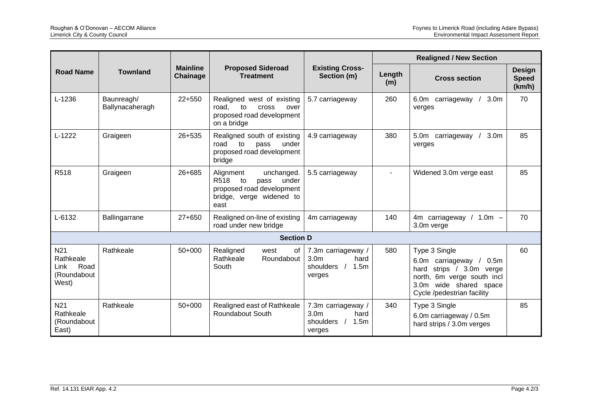|                                                                      | <b>Townland</b>               |          | <b>Mainline</b><br><b>Proposed Sideroad</b><br><b>Treatment</b>                                                                      |                                                                               | <b>Realigned / New Section</b> |                                                                                                                                                                              |                                         |  |
|----------------------------------------------------------------------|-------------------------------|----------|--------------------------------------------------------------------------------------------------------------------------------------|-------------------------------------------------------------------------------|--------------------------------|------------------------------------------------------------------------------------------------------------------------------------------------------------------------------|-----------------------------------------|--|
| <b>Road Name</b>                                                     |                               | Chainage |                                                                                                                                      | <b>Existing Cross-</b><br>Section (m)                                         | Length<br>(m)                  | <b>Cross section</b>                                                                                                                                                         | <b>Design</b><br><b>Speed</b><br>(km/h) |  |
| $L-1236$                                                             | Baunreagh/<br>Ballynacaheragh | $22+550$ | Realigned west of existing<br>road,<br>to<br><b>Cross</b><br>over<br>proposed road development<br>on a bridge                        | 5.7 carriageway                                                               | 260                            | 6.0 <sub>m</sub><br>carriageway<br>3.0 <sub>m</sub><br>verges                                                                                                                | 70                                      |  |
| $L-1222$                                                             | Graigeen                      | 26+535   | Realigned south of existing<br>road<br>to<br>under<br>pass<br>proposed road development<br>bridge                                    | 4.9 carriageway                                                               | 380                            | 5.0m carriageway /<br>3.0m<br>verges                                                                                                                                         | 85                                      |  |
| R518                                                                 | Graigeen                      | 26+685   | Alignment<br>unchanged.<br>R <sub>5</sub> 18<br>under<br>to<br>pass<br>proposed road development<br>bridge, verge widened to<br>east | 5.5 carriageway                                                               |                                | Widened 3.0m verge east                                                                                                                                                      | 85                                      |  |
| $L - 6132$                                                           | Ballingarrane                 | $27+650$ | Realigned on-line of existing<br>road under new bridge                                                                               | 4m carriageway                                                                | 140                            | 4m carriageway<br>$/ 1.0m -$<br>3.0m verge                                                                                                                                   | 70                                      |  |
|                                                                      |                               |          | <b>Section D</b>                                                                                                                     |                                                                               |                                |                                                                                                                                                                              |                                         |  |
| N <sub>21</sub><br>Rathkeale<br>Road<br>Link<br>(Roundabout<br>West) | Rathkeale                     | $50+000$ | Realigned<br>0f<br>west<br>Rathkeale<br>Roundabout<br>South                                                                          | 7.3m carriageway /<br>3.0 <sub>m</sub><br>hard<br>1.5m<br>shoulders<br>verges | 580                            | Type 3 Single<br>6.0m carriageway /<br>0.5 <sub>m</sub><br>strips / 3.0m verge<br>hard<br>north, 6m verge south incl<br>3.0m wide shared space<br>Cycle /pedestrian facility | 60                                      |  |
| N <sub>21</sub><br>Rathkeale<br>(Roundabout<br>East)                 | Rathkeale                     | 50+000   | Realigned east of Rathkeale<br>Roundabout South                                                                                      | 7.3m carriageway /<br>3.0 <sub>m</sub><br>hard<br>shoulders<br>1.5m<br>verges | 340                            | Type 3 Single<br>6.0m carriageway / 0.5m<br>hard strips / 3.0m verges                                                                                                        | 85                                      |  |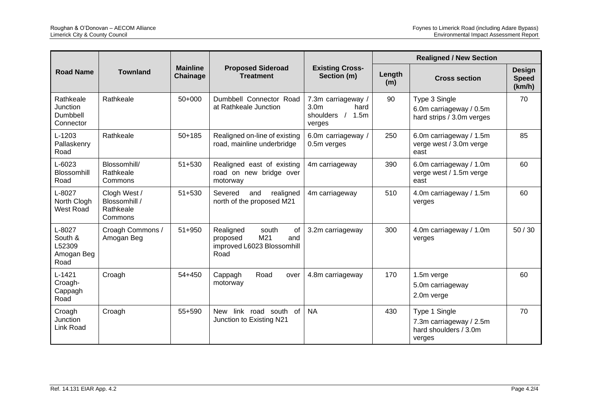| <b>Road Name</b>                                  |                                                       |                             |                                                                                          |                                                                                   | <b>Realigned / New Section</b> |                                                                             |                                         |  |
|---------------------------------------------------|-------------------------------------------------------|-----------------------------|------------------------------------------------------------------------------------------|-----------------------------------------------------------------------------------|--------------------------------|-----------------------------------------------------------------------------|-----------------------------------------|--|
|                                                   | <b>Townland</b>                                       | <b>Mainline</b><br>Chainage | <b>Proposed Sideroad</b><br><b>Treatment</b>                                             | <b>Existing Cross-</b><br>Section (m)                                             | Length<br>(m)                  | <b>Cross section</b>                                                        | <b>Design</b><br><b>Speed</b><br>(km/h) |  |
| Rathkeale<br>Junction<br>Dumbbell<br>Connector    | Rathkeale                                             | $50+000$                    | Dumbbell Connector Road<br>at Rathkeale Junction                                         | 7.3m carriageway /<br>3.0 <sub>m</sub><br>hard<br>shoulders $/$<br>1.5m<br>verges | 90                             | Type 3 Single<br>6.0m carriageway / 0.5m<br>hard strips / 3.0m verges       | 70                                      |  |
| $L-1203$<br>Pallaskenry<br>Road                   | Rathkeale                                             | $50 + 185$                  | Realigned on-line of existing<br>road, mainline underbridge                              | 6.0m carriageway /<br>0.5m verges                                                 | 250                            | 6.0m carriageway / 1.5m<br>verge west / 3.0m verge<br>east                  | 85                                      |  |
| $L - 6023$<br><b>Blossomhill</b><br>Road          | Blossomhill/<br>Rathkeale<br>Commons                  | $51 + 530$                  | Realigned east of existing<br>road on new bridge over<br>motorway                        | 4m carriageway                                                                    | 390                            | 6.0m carriageway / 1.0m<br>verge west / 1.5m verge<br>east                  | 60                                      |  |
| $L - 8027$<br>North Clogh<br>West Road            | Clogh West /<br>Blossomhill /<br>Rathkeale<br>Commons | $51 + 530$                  | Severed<br>realigned<br>and<br>north of the proposed M21                                 | 4m carriageway                                                                    | 510                            | 4.0m carriageway / 1.5m<br>verges                                           | 60                                      |  |
| L-8027<br>South &<br>L52309<br>Amogan Beg<br>Road | Croagh Commons /<br>Amogan Beg                        | 51+950                      | Realigned<br>south<br>οf<br>M21<br>proposed<br>and<br>improved L6023 Blossomhill<br>Road | 3.2m carriageway                                                                  | 300                            | 4.0m carriageway / 1.0m<br>verges                                           | 50/30                                   |  |
| $L-1421$<br>Croagh-<br>Cappagh<br>Road            | Croagh                                                | 54+450                      | Road<br>Cappagh<br>over<br>motorway                                                      | 4.8m carriageway                                                                  | 170                            | 1.5m verge<br>5.0m carriageway<br>2.0m verge                                | 60                                      |  |
| Croagh<br>Junction<br>Link Road                   | Croagh                                                | 55+590                      | New link road south of<br>Junction to Existing N21                                       | <b>NA</b>                                                                         | 430                            | Type 1 Single<br>7.3m carriageway / 2.5m<br>hard shoulders / 3.0m<br>verges | 70                                      |  |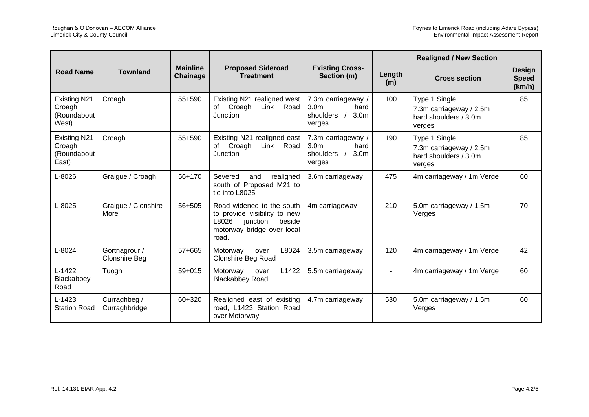|                                                       | <b>Townland</b>                       |                             | <b>Proposed Sideroad</b><br><b>Treatment</b>                                                                                    |                                                                                             | <b>Realigned / New Section</b> |                                                                             |                                         |  |
|-------------------------------------------------------|---------------------------------------|-----------------------------|---------------------------------------------------------------------------------------------------------------------------------|---------------------------------------------------------------------------------------------|--------------------------------|-----------------------------------------------------------------------------|-----------------------------------------|--|
| <b>Road Name</b>                                      |                                       | <b>Mainline</b><br>Chainage |                                                                                                                                 | <b>Existing Cross-</b><br>Section (m)                                                       | Length<br>(m)                  | <b>Cross section</b>                                                        | <b>Design</b><br><b>Speed</b><br>(km/h) |  |
| <b>Existing N21</b><br>Croagh<br>(Roundabout<br>West) | Croagh                                | 55+590                      | Existing N21 realigned west<br>Link Road<br>of Croagh<br>Junction                                                               | 7.3m carriageway /<br>3.0 <sub>m</sub><br>hard<br>shoulders /<br>3.0 <sub>m</sub><br>verges | 100                            | Type 1 Single<br>7.3m carriageway / 2.5m<br>hard shoulders / 3.0m<br>verges | 85                                      |  |
| <b>Existing N21</b><br>Croagh<br>(Roundabout<br>East) | Croagh                                | 55+590                      | Existing N21 realigned east<br>Link Road<br>Croagh<br>of<br>Junction                                                            | 7.3m carriageway /<br>3.0 <sub>m</sub><br>hard<br>shoulders /<br>3.0 <sub>m</sub><br>verges | 190                            | Type 1 Single<br>7.3m carriageway / 2.5m<br>hard shoulders / 3.0m<br>verges | 85                                      |  |
| $L - 8026$                                            | Graigue / Croagh                      | 56+170                      | Severed<br>and<br>realigned<br>south of Proposed M21 to<br>tie into L8025                                                       | 3.6m carriageway                                                                            | 475                            | 4m carriageway / 1m Verge                                                   | 60                                      |  |
| $L - 8025$                                            | Graigue / Clonshire<br>More           | 56+505                      | Road widened to the south<br>to provide visibility to new<br>L8026<br>junction<br>beside<br>motorway bridge over local<br>road. | 4m carriageway                                                                              | 210                            | 5.0m carriageway / 1.5m<br>Verges                                           | 70                                      |  |
| $L - 8024$                                            | Gortnagrour /<br><b>Clonshire Beg</b> | 57+665                      | L8024<br>Motorway<br>over<br><b>Clonshire Beg Road</b>                                                                          | 3.5m carriageway                                                                            | 120                            | 4m carriageway / 1m Verge                                                   | 42                                      |  |
| $L-1422$<br>Blackabbey<br>Road                        | Tuogh                                 | $59 + 015$                  | L1422<br>Motorway<br>over<br><b>Blackabbey Road</b>                                                                             | 5.5m carriageway                                                                            |                                | 4m carriageway / 1m Verge                                                   | 60                                      |  |
| $L-1423$<br><b>Station Road</b>                       | Curraghbeg /<br>Curraghbridge         | 60+320                      | Realigned east of existing<br>road, L1423 Station Road<br>over Motorway                                                         | 4.7m carriageway                                                                            | 530                            | 5.0m carriageway / 1.5m<br>Verges                                           | 60                                      |  |